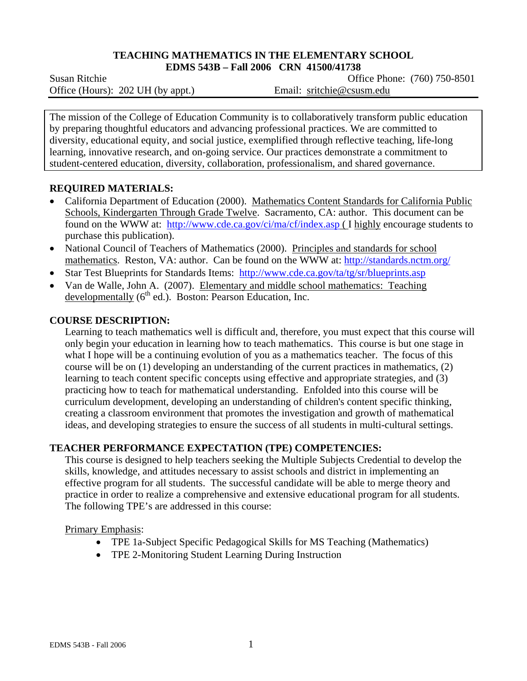#### **TEACHING MATHEMATICS IN THE ELEMENTARY SCHOOL EDMS 543B – Fall 2006 CRN 41500/41738**

Office (Hours): 202 UH (by appt.) Email: sritchie@csusm.edu

Susan RitchieOffice Phone: (760) 750-8501

The mission of the College of Education Community is to collaboratively transform public education by preparing thoughtful educators and advancing professional practices. We are committed to diversity, educational equity, and social justice, exemplified through reflective teaching, life-long learning, innovative research, and on-going service. Our practices demonstrate a commitment to student-centered education, diversity, collaboration, professionalism, and shared governance.

## **REQUIRED MATERIALS:**

- California Department of Education (2000). Mathematics Content Standards for California Public Schools, Kindergarten Through Grade Twelve. Sacramento, CA: author. This document can be found on the WWW at: http://www.cde.ca.gov/ci/ma/cf/index.asp ( I highly encourage students to purchase this publication).
- National Council of Teachers of Mathematics (2000). Principles and standards for school mathematics. Reston, VA: author. Can be found on the WWW at: http://standards.nctm.org/
- Star Test Blueprints for Standards Items: http://www.cde.ca.gov/ta/tg/sr/blueprints.asp
- Van de Walle, John A. (2007). Elementary and middle school mathematics: Teaching developmentally  $(6<sup>th</sup>$  ed.). Boston: Pearson Education, Inc.

## **COURSE DESCRIPTION:**

Learning to teach mathematics well is difficult and, therefore, you must expect that this course will only begin your education in learning how to teach mathematics. This course is but one stage in what I hope will be a continuing evolution of you as a mathematics teacher. The focus of this course will be on (1) developing an understanding of the current practices in mathematics, (2) learning to teach content specific concepts using effective and appropriate strategies, and (3) practicing how to teach for mathematical understanding. Enfolded into this course will be curriculum development, developing an understanding of children's content specific thinking, creating a classroom environment that promotes the investigation and growth of mathematical ideas, and developing strategies to ensure the success of all students in multi-cultural settings.

## **TEACHER PERFORMANCE EXPECTATION (TPE) COMPETENCIES:**

This course is designed to help teachers seeking the Multiple Subjects Credential to develop the skills, knowledge, and attitudes necessary to assist schools and district in implementing an effective program for all students. The successful candidate will be able to merge theory and practice in order to realize a comprehensive and extensive educational program for all students. The following TPE's are addressed in this course:

Primary Emphasis:

- TPE 1a-Subject Specific Pedagogical Skills for MS Teaching (Mathematics)
- TPE 2-Monitoring Student Learning During Instruction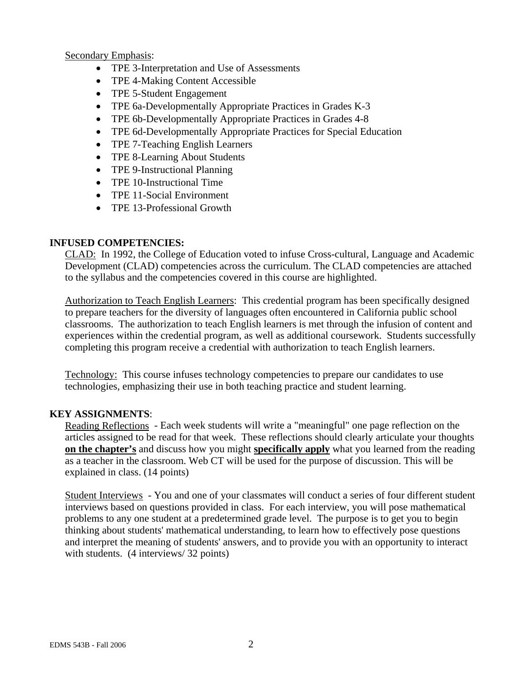Secondary Emphasis:

- TPE 3-Interpretation and Use of Assessments
- TPE 4-Making Content Accessible
- TPE 5-Student Engagement
- TPE 6a-Developmentally Appropriate Practices in Grades K-3
- TPE 6b-Developmentally Appropriate Practices in Grades 4-8
- TPE 6d-Developmentally Appropriate Practices for Special Education
- TPE 7-Teaching English Learners
- TPE 8-Learning About Students
- TPE 9-Instructional Planning
- TPE 10-Instructional Time
- TPE 11-Social Environment
- TPE 13-Professional Growth

#### **INFUSED COMPETENCIES:**

CLAD: In 1992, the College of Education voted to infuse Cross-cultural, Language and Academic Development (CLAD) competencies across the curriculum. The CLAD competencies are attached to the syllabus and the competencies covered in this course are highlighted.

Authorization to Teach English Learners: This credential program has been specifically designed to prepare teachers for the diversity of languages often encountered in California public school classrooms. The authorization to teach English learners is met through the infusion of content and experiences within the credential program, as well as additional coursework. Students successfully completing this program receive a credential with authorization to teach English learners.

Technology: This course infuses technology competencies to prepare our candidates to use technologies, emphasizing their use in both teaching practice and student learning.

## **KEY ASSIGNMENTS**:

Reading Reflections - Each week students will write a "meaningful" one page reflection on the articles assigned to be read for that week. These reflections should clearly articulate your thoughts **on the chapter's** and discuss how you might **specifically apply** what you learned from the reading as a teacher in the classroom. Web CT will be used for the purpose of discussion. This will be explained in class. (14 points)

Student Interviews - You and one of your classmates will conduct a series of four different student interviews based on questions provided in class. For each interview, you will pose mathematical problems to any one student at a predetermined grade level. The purpose is to get you to begin thinking about students' mathematical understanding, to learn how to effectively pose questions and interpret the meaning of students' answers, and to provide you with an opportunity to interact with students. (4 interviews/ 32 points)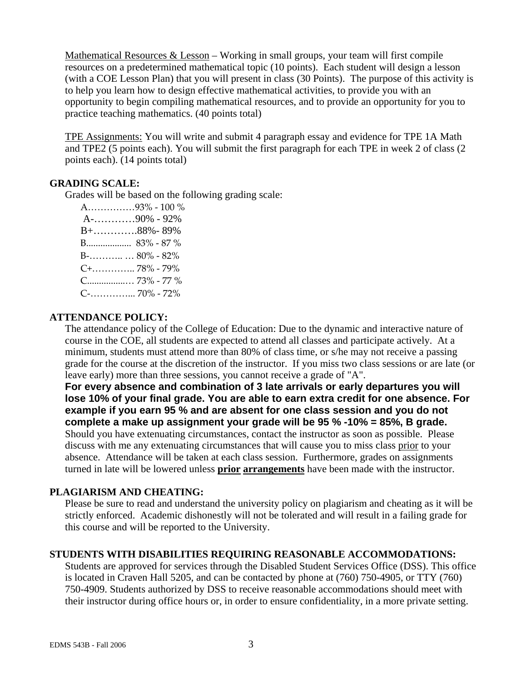Mathematical Resources & Lesson – Working in small groups, your team will first compile resources on a predetermined mathematical topic (10 points). Each student will design a lesson (with a COE Lesson Plan) that you will present in class (30 Points). The purpose of this activity is to help you learn how to design effective mathematical activities, to provide you with an opportunity to begin compiling mathematical resources, and to provide an opportunity for you to practice teaching mathematics. (40 points total)

TPE Assignments: You will write and submit 4 paragraph essay and evidence for TPE 1A Math and TPE2 (5 points each). You will submit the first paragraph for each TPE in week 2 of class (2 points each). (14 points total)

## **GRADING SCALE:**

Grades will be based on the following grading scale:

 A……………93% ‐ 100 % A-…………90% - 92% B+………….88%- 89% B................... 83% ‐ 87 % B‐……….. … 80% ‐ 82% C+………….. 78% ‐ 79% C................… 73% ‐ 77 % C‐…………... 70% ‐ 72%

## **ATTENDANCE POLICY:**

The attendance policy of the College of Education: Due to the dynamic and interactive nature of course in the COE, all students are expected to attend all classes and participate actively. At a minimum, students must attend more than 80% of class time, or s/he may not receive a passing grade for the course at the discretion of the instructor. If you miss two class sessions or are late (or leave early) more than three sessions, you cannot receive a grade of "A".

**For every absence and combination of 3 late arrivals or early departures you will lose 10% of your final grade. You are able to earn extra credit for one absence. For example if you earn 95 % and are absent for one class session and you do not complete a make up assignment your grade will be 95 % -10% = 85%, B grade.** Should you have extenuating circumstances, contact the instructor as soon as possible. Please discuss with me any extenuating circumstances that will cause you to miss class prior to your absence. Attendance will be taken at each class session. Furthermore, grades on assignments turned in late will be lowered unless **prior arrangements** have been made with the instructor.

## **PLAGIARISM AND CHEATING:**

Please be sure to read and understand the university policy on plagiarism and cheating as it will be strictly enforced. Academic dishonestly will not be tolerated and will result in a failing grade for this course and will be reported to the University.

## **STUDENTS WITH DISABILITIES REQUIRING REASONABLE ACCOMMODATIONS:**

Students are approved for services through the Disabled Student Services Office (DSS). This office is located in Craven Hall 5205, and can be contacted by phone at (760) 750-4905, or TTY (760) 750-4909. Students authorized by DSS to receive reasonable accommodations should meet with their instructor during office hours or, in order to ensure confidentiality, in a more private setting.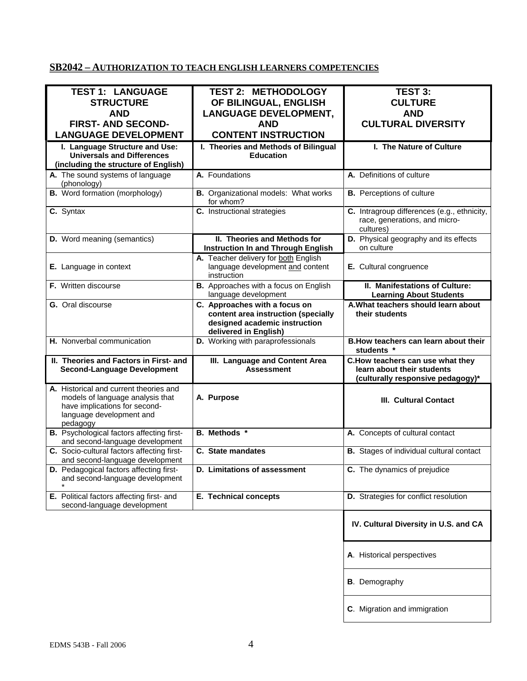# **SB2042 – AUTHORIZATION TO TEACH ENGLISH LEARNERS COMPETENCIES**

| <b>TEST 1: LANGUAGE</b>                                                                                          | <b>TEST 2: METHODOLOGY</b>                                                                                                     | TEST 3:                                                                                             |
|------------------------------------------------------------------------------------------------------------------|--------------------------------------------------------------------------------------------------------------------------------|-----------------------------------------------------------------------------------------------------|
|                                                                                                                  |                                                                                                                                |                                                                                                     |
| <b>STRUCTURE</b>                                                                                                 | OF BILINGUAL, ENGLISH                                                                                                          | <b>CULTURE</b>                                                                                      |
| <b>AND</b>                                                                                                       | <b>LANGUAGE DEVELOPMENT,</b>                                                                                                   | <b>AND</b>                                                                                          |
| <b>FIRST- AND SECOND-</b>                                                                                        | <b>AND</b>                                                                                                                     | <b>CULTURAL DIVERSITY</b>                                                                           |
| <b>LANGUAGE DEVELOPMENT</b>                                                                                      | <b>CONTENT INSTRUCTION</b>                                                                                                     |                                                                                                     |
| I. Language Structure and Use:                                                                                   | I. Theories and Methods of Bilingual                                                                                           | I. The Nature of Culture                                                                            |
| <b>Universals and Differences</b>                                                                                | <b>Education</b>                                                                                                               |                                                                                                     |
| (including the structure of English)                                                                             |                                                                                                                                |                                                                                                     |
| A. The sound systems of language<br>(phonology)                                                                  | A. Foundations                                                                                                                 | A. Definitions of culture                                                                           |
| <b>B.</b> Word formation (morphology)                                                                            | <b>B.</b> Organizational models: What works<br>for whom?                                                                       | <b>B.</b> Perceptions of culture                                                                    |
| C. Syntax                                                                                                        | C. Instructional strategies                                                                                                    | C. Intragroup differences (e.g., ethnicity,<br>race, generations, and micro-<br>cultures)           |
| <b>D.</b> Word meaning (semantics)                                                                               | II. Theories and Methods for<br><b>Instruction In and Through English</b>                                                      | D. Physical geography and its effects<br>on culture                                                 |
| E. Language in context                                                                                           | A. Teacher delivery for both English<br>language development and content<br>instruction                                        | E. Cultural congruence                                                                              |
| F. Written discourse                                                                                             | B. Approaches with a focus on English<br>language development                                                                  | II. Manifestations of Culture:<br><b>Learning About Students</b>                                    |
| <b>G.</b> Oral discourse                                                                                         | C. Approaches with a focus on<br>content area instruction (specially<br>designed academic instruction<br>delivered in English) | A. What teachers should learn about<br>their students                                               |
| H. Nonverbal communication                                                                                       | D. Working with paraprofessionals                                                                                              | B. How teachers can learn about their<br>students *                                                 |
| II. Theories and Factors in First- and<br><b>Second-Language Development</b>                                     | III. Language and Content Area<br><b>Assessment</b>                                                                            | C.How teachers can use what they<br>learn about their students<br>(culturally responsive pedagogy)* |
| A. Historical and current theories and<br>models of language analysis that                                       | A. Purpose                                                                                                                     | <b>III. Cultural Contact</b>                                                                        |
| have implications for second-<br>language development and<br>pedagogy                                            |                                                                                                                                |                                                                                                     |
| <b>B.</b> Psychological factors affecting first-                                                                 | <b>B.</b> Methods *                                                                                                            | A. Concepts of cultural contact                                                                     |
| and second-language development<br>C. Socio-cultural factors affecting first-<br>and second-language development | C. State mandates                                                                                                              | <b>B.</b> Stages of individual cultural contact                                                     |
| <b>D.</b> Pedagogical factors affecting first-<br>and second-language development                                | D. Limitations of assessment                                                                                                   | C. The dynamics of prejudice                                                                        |
| E. Political factors affecting first- and<br>second-language development                                         | <b>E. Technical concepts</b>                                                                                                   | D. Strategies for conflict resolution                                                               |
|                                                                                                                  |                                                                                                                                | IV. Cultural Diversity in U.S. and CA                                                               |
|                                                                                                                  |                                                                                                                                | A. Historical perspectives                                                                          |
|                                                                                                                  |                                                                                                                                | <b>B</b> . Demography                                                                               |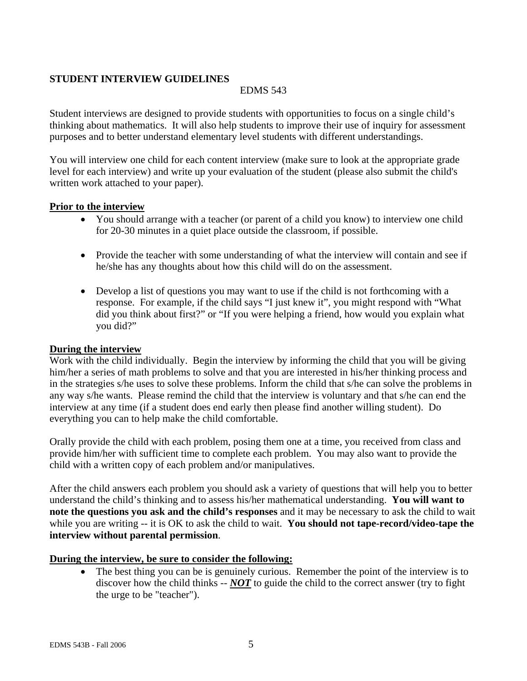## **STUDENT INTERVIEW GUIDELINES**

## EDMS 543

Student interviews are designed to provide students with opportunities to focus on a single child's thinking about mathematics. It will also help students to improve their use of inquiry for assessment purposes and to better understand elementary level students with different understandings.

You will interview one child for each content interview (make sure to look at the appropriate grade level for each interview) and write up your evaluation of the student (please also submit the child's written work attached to your paper).

#### **Prior to the interview**

- You should arrange with a teacher (or parent of a child you know) to interview one child for 20-30 minutes in a quiet place outside the classroom, if possible.
- Provide the teacher with some understanding of what the interview will contain and see if he/she has any thoughts about how this child will do on the assessment.
- Develop a list of questions you may want to use if the child is not forthcoming with a response. For example, if the child says "I just knew it", you might respond with "What did you think about first?" or "If you were helping a friend, how would you explain what you did?"

## **During the interview**

Work with the child individually. Begin the interview by informing the child that you will be giving him/her a series of math problems to solve and that you are interested in his/her thinking process and in the strategies s/he uses to solve these problems. Inform the child that s/he can solve the problems in any way s/he wants. Please remind the child that the interview is voluntary and that s/he can end the interview at any time (if a student does end early then please find another willing student). Do everything you can to help make the child comfortable.

Orally provide the child with each problem, posing them one at a time, you received from class and provide him/her with sufficient time to complete each problem. You may also want to provide the child with a written copy of each problem and/or manipulatives.

After the child answers each problem you should ask a variety of questions that will help you to better understand the child's thinking and to assess his/her mathematical understanding. **You will want to note the questions you ask and the child's responses** and it may be necessary to ask the child to wait while you are writing -- it is OK to ask the child to wait. You should not tape-record/video-tape the **interview without parental permission**.

## **During the interview, be sure to consider the following:**

The best thing you can be is genuinely curious. Remember the point of the interview is to discover how the child thinks -- *NOT* to guide the child to the correct answer (try to fight the urge to be "teacher").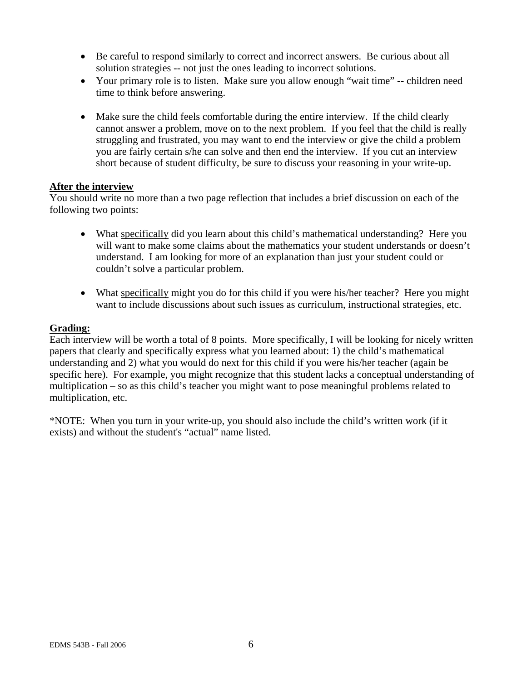- Be careful to respond similarly to correct and incorrect answers. Be curious about all solution strategies -- not just the ones leading to incorrect solutions.
- Your primary role is to listen. Make sure you allow enough "wait time" -- children need time to think before answering.
- Make sure the child feels comfortable during the entire interview. If the child clearly cannot answer a problem, move on to the next problem. If you feel that the child is really struggling and frustrated, you may want to end the interview or give the child a problem you are fairly certain s/he can solve and then end the interview. If you cut an interview short because of student difficulty, be sure to discuss your reasoning in your write-up.

## **After the interview**

You should write no more than a two page reflection that includes a brief discussion on each of the following two points:

- What specifically did you learn about this child's mathematical understanding? Here you will want to make some claims about the mathematics your student understands or doesn't understand. I am looking for more of an explanation than just your student could or couldn't solve a particular problem.
- What specifically might you do for this child if you were his/her teacher? Here you might want to include discussions about such issues as curriculum, instructional strategies, etc.

#### **Grading:**

Each interview will be worth a total of 8 points. More specifically, I will be looking for nicely written papers that clearly and specifically express what you learned about: 1) the child's mathematical understanding and 2) what you would do next for this child if you were his/her teacher (again be specific here). For example, you might recognize that this student lacks a conceptual understanding of multiplication – so as this child's teacher you might want to pose meaningful problems related to multiplication, etc.

\*NOTE: When you turn in your write-up, you should also include the child's written work (if it exists) and without the student's "actual" name listed.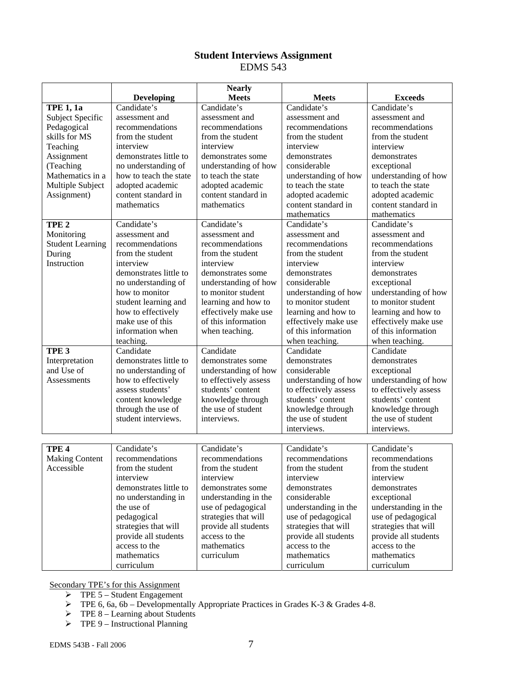## **Student Interviews Assignment**  EDMS 543

|                         |                        | <b>Nearly</b>         |                       |                       |
|-------------------------|------------------------|-----------------------|-----------------------|-----------------------|
|                         | Developing             | <b>Meets</b>          | <b>Meets</b>          | <b>Exceeds</b>        |
| <b>TPE 1, 1a</b>        | Candidate's            | Candidate's           | Candidate's           | Candidate's           |
| Subject Specific        | assessment and         | assessment and        | assessment and        | assessment and        |
| Pedagogical             | recommendations        | recommendations       | recommendations       | recommendations       |
| skills for MS           | from the student       | from the student      | from the student      | from the student      |
| Teaching                | interview              | interview             | interview             | interview             |
| Assignment              | demonstrates little to | demonstrates some     | demonstrates          | demonstrates          |
| (Teaching               | no understanding of    | understanding of how  | considerable          | exceptional           |
| Mathematics in a        | how to teach the state | to teach the state    | understanding of how  | understanding of how  |
| Multiple Subject        | adopted academic       | adopted academic      | to teach the state    | to teach the state    |
| Assignment)             | content standard in    | content standard in   | adopted academic      | adopted academic      |
|                         | mathematics            | mathematics           | content standard in   | content standard in   |
|                         |                        |                       | mathematics           | mathematics           |
| TPE <sub>2</sub>        | Candidate's            | Candidate's           | Candidate's           | Candidate's           |
| Monitoring              | assessment and         | assessment and        | assessment and        | assessment and        |
| <b>Student Learning</b> | recommendations        | recommendations       | recommendations       | recommendations       |
| During                  | from the student       | from the student      | from the student      | from the student      |
| Instruction             | interview              | interview             | interview             | interview             |
|                         | demonstrates little to | demonstrates some     | demonstrates          | demonstrates          |
|                         | no understanding of    | understanding of how  | considerable          | exceptional           |
|                         | how to monitor         | to monitor student    | understanding of how  | understanding of how  |
|                         | student learning and   | learning and how to   | to monitor student    | to monitor student    |
|                         | how to effectively     | effectively make use  | learning and how to   | learning and how to   |
|                         | make use of this       | of this information   | effectively make use  | effectively make use  |
|                         | information when       | when teaching.        | of this information   | of this information   |
|                         | teaching.              |                       | when teaching.        | when teaching.        |
| TPE <sub>3</sub>        | Candidate              | Candidate             | Candidate             | Candidate             |
| Interpretation          | demonstrates little to | demonstrates some     | demonstrates          | demonstrates          |
| and Use of              | no understanding of    | understanding of how  | considerable          | exceptional           |
| Assessments             | how to effectively     | to effectively assess | understanding of how  | understanding of how  |
|                         | assess students'       | students' content     | to effectively assess | to effectively assess |
|                         | content knowledge      | knowledge through     | students' content     | students' content     |
|                         | through the use of     | the use of student    | knowledge through     | knowledge through     |
|                         | student interviews.    | interviews.           | the use of student    | the use of student    |
|                         |                        |                       | interviews.           | interviews.           |
|                         |                        |                       |                       |                       |
| TPE <sub>4</sub>        | Candidate's            | Candidate's           | Candidate's           | Candidate's           |
| <b>Making Content</b>   | recommendations        | recommendations       | recommendations       | recommendations       |
| Accessible              | from the student       | from the student      | from the student      | from the student      |
|                         | interview              | interview             | interview             | interview             |
|                         | demonstrates little to | demonstrates some     | demonstrates          | demonstrates          |
|                         | no understanding in    | understanding in the  | considerable          | exceptional           |
|                         | the use of             | use of pedagogical    | understanding in the  | understanding in the  |
|                         | pedagogical            | strategies that will  | use of pedagogical    | use of pedagogical    |
|                         | strategies that will   | provide all students  | strategies that will  | strategies that will  |
|                         | provide all students   | access to the         | provide all students  | provide all students  |
|                         | access to the          | mathematics           | access to the         | access to the         |
|                         | mathematics            | curriculum            | mathematics           | mathematics           |
|                         | curriculum             |                       | curriculum            | curriculum            |

Secondary TPE's for this Assignment

- $\triangleright$  TPE 5 Student Engagement
- $\triangleright$  TPE 6, 6a, 6b Developmentally Appropriate Practices in Grades K-3 & Grades 4-8.
- $\triangleright$  TPE 8 Learning about Students
- $\triangleright$  TPE 9 Instructional Planning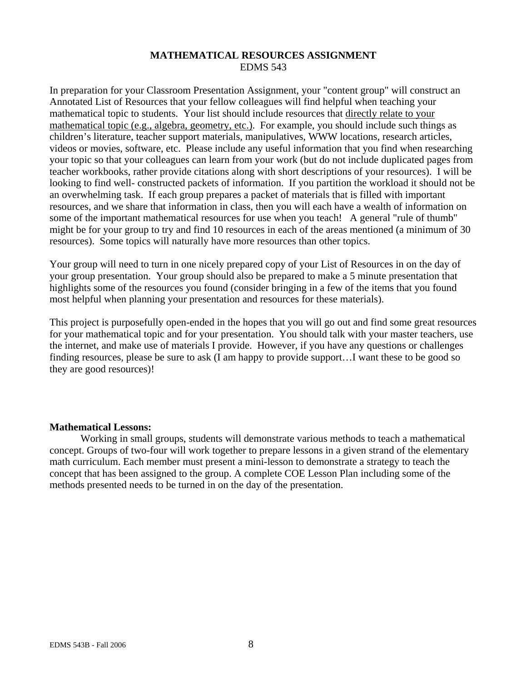## **MATHEMATICAL RESOURCES ASSIGNMENT**  EDMS 543

In preparation for your Classroom Presentation Assignment, your "content group" will construct an Annotated List of Resources that your fellow colleagues will find helpful when teaching your mathematical topic to students. Your list should include resources that directly relate to your mathematical topic (e.g., algebra, geometry, etc.). For example, you should include such things as children's literature, teacher support materials, manipulatives, WWW locations, research articles, videos or movies, software, etc. Please include any useful information that you find when researching your topic so that your colleagues can learn from your work (but do not include duplicated pages from teacher workbooks, rather provide citations along with short descriptions of your resources). I will be looking to find well- constructed packets of information. If you partition the workload it should not be an overwhelming task. If each group prepares a packet of materials that is filled with important resources, and we share that information in class, then you will each have a wealth of information on some of the important mathematical resources for use when you teach! A general "rule of thumb" might be for your group to try and find 10 resources in each of the areas mentioned (a minimum of 30 resources). Some topics will naturally have more resources than other topics.

Your group will need to turn in one nicely prepared copy of your List of Resources in on the day of your group presentation. Your group should also be prepared to make a 5 minute presentation that highlights some of the resources you found (consider bringing in a few of the items that you found most helpful when planning your presentation and resources for these materials).

This project is purposefully open-ended in the hopes that you will go out and find some great resources for your mathematical topic and for your presentation. You should talk with your master teachers, use the internet, and make use of materials I provide. However, if you have any questions or challenges finding resources, please be sure to ask (I am happy to provide support…I want these to be good so they are good resources)!

#### **Mathematical Lessons:**

Working in small groups, students will demonstrate various methods to teach a mathematical concept. Groups of two-four will work together to prepare lessons in a given strand of the elementary math curriculum. Each member must present a mini-lesson to demonstrate a strategy to teach the concept that has been assigned to the group. A complete COE Lesson Plan including some of the methods presented needs to be turned in on the day of the presentation.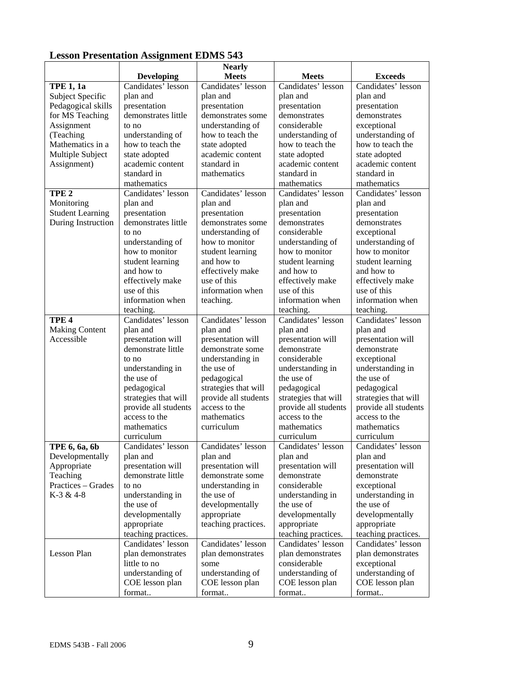|                         | Lesson I resentation Assignment EDIMO 943 |                               |                      |                      |
|-------------------------|-------------------------------------------|-------------------------------|----------------------|----------------------|
|                         | <b>Developing</b>                         | <b>Nearly</b><br><b>Meets</b> | <b>Meets</b>         | <b>Exceeds</b>       |
| <b>TPE 1, 1a</b>        | Candidates' lesson                        | Candidates' lesson            | Candidates' lesson   | Candidates' lesson   |
| Subject Specific        | plan and                                  | plan and                      | plan and             | plan and             |
| Pedagogical skills      | presentation                              | presentation                  | presentation         | presentation         |
| for MS Teaching         | demonstrates little                       | demonstrates some             | demonstrates         | demonstrates         |
| Assignment              | to no                                     | understanding of              | considerable         | exceptional          |
| (Teaching               | understanding of                          | how to teach the              | understanding of     | understanding of     |
| Mathematics in a        | how to teach the                          | state adopted                 | how to teach the     | how to teach the     |
| Multiple Subject        | state adopted                             | academic content              | state adopted        | state adopted        |
| Assignment)             | academic content                          | standard in                   | academic content     | academic content     |
|                         | standard in                               | mathematics                   | standard in          | standard in          |
|                         | mathematics                               |                               | mathematics          | mathematics          |
| TPE <sub>2</sub>        | Candidates' lesson                        | Candidates' lesson            | Candidates' lesson   | Candidates' lesson   |
| Monitoring              | plan and                                  | plan and                      | plan and             | plan and             |
| <b>Student Learning</b> | presentation                              | presentation                  | presentation         | presentation         |
| During Instruction      | demonstrates little                       | demonstrates some             | demonstrates         | demonstrates         |
|                         | to no                                     | understanding of              | considerable         | exceptional          |
|                         | understanding of                          | how to monitor                | understanding of     | understanding of     |
|                         | how to monitor                            | student learning              | how to monitor       | how to monitor       |
|                         | student learning                          | and how to                    | student learning     | student learning     |
|                         | and how to                                | effectively make              | and how to           | and how to           |
|                         | effectively make                          | use of this                   | effectively make     | effectively make     |
|                         | use of this                               | information when              | use of this          | use of this          |
|                         | information when                          | teaching.                     | information when     | information when     |
|                         | teaching.                                 |                               | teaching.            | teaching.            |
| TPE <sub>4</sub>        | Candidates' lesson                        | Candidates' lesson            | Candidates' lesson   | Candidates' lesson   |
| <b>Making Content</b>   | plan and                                  | plan and                      | plan and             | plan and             |
| Accessible              | presentation will                         | presentation will             | presentation will    | presentation will    |
|                         | demonstrate little                        | demonstrate some              | demonstrate          | demonstrate          |
|                         | to no                                     | understanding in              | considerable         | exceptional          |
|                         | understanding in                          | the use of                    | understanding in     | understanding in     |
|                         | the use of                                | pedagogical                   | the use of           | the use of           |
|                         | pedagogical                               | strategies that will          | pedagogical          | pedagogical          |
|                         | strategies that will                      | provide all students          | strategies that will | strategies that will |
|                         | provide all students                      | access to the                 | provide all students | provide all students |
|                         | access to the                             | mathematics                   | access to the        | access to the        |
|                         | mathematics                               | curriculum                    | mathematics          | mathematics          |
|                         | curriculum                                |                               | curriculum           | curriculum           |
| TPE 6, 6a, 6b           | Candidates' lesson                        | Candidates' lesson            | Candidates' lesson   | Candidates' lesson   |
| Developmentally         | plan and                                  | plan and                      | plan and             | plan and             |
| Appropriate             | presentation will                         | presentation will             | presentation will    | presentation will    |
| Teaching                | demonstrate little                        | demonstrate some              | demonstrate          | demonstrate          |
| Practices - Grades      | to no                                     | understanding in              | considerable         | exceptional          |
| $K-3 & 4-8$             | understanding in                          | the use of                    | understanding in     | understanding in     |
|                         | the use of                                | developmentally               | the use of           | the use of           |
|                         | developmentally                           | appropriate                   | developmentally      | developmentally      |
|                         | appropriate                               | teaching practices.           | appropriate          | appropriate          |
|                         | teaching practices.                       |                               | teaching practices.  | teaching practices.  |
|                         | Candidates' lesson                        | Candidates' lesson            | Candidates' lesson   | Candidates' lesson   |
| Lesson Plan             | plan demonstrates                         | plan demonstrates             | plan demonstrates    | plan demonstrates    |
|                         | little to no                              | some                          | considerable         | exceptional          |
|                         | understanding of                          | understanding of              | understanding of     | understanding of     |
|                         | COE lesson plan                           | COE lesson plan               | COE lesson plan      | COE lesson plan      |
|                         | format                                    | format                        | format               | format               |

# **Lesson Presentation Assignment EDMS 543**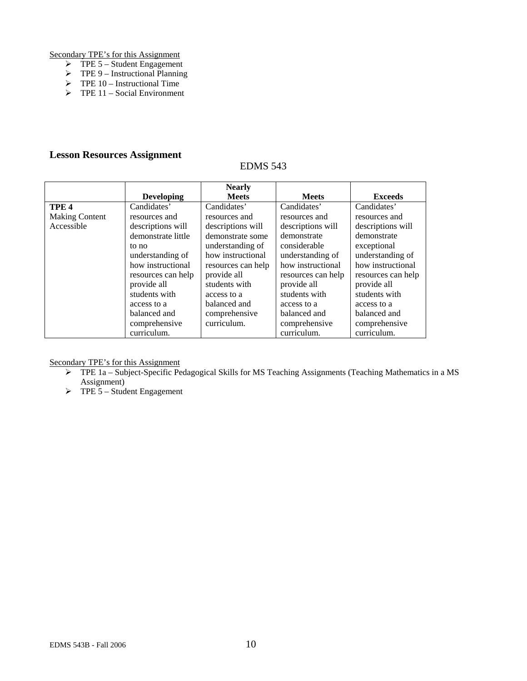Secondary TPE's for this Assignment

- $\triangleright$  TPE 5 Student Engagement
- $\triangleright$  TPE 9 Instructional Planning
- $\triangleright$  TPE 10 Instructional Time
- $\triangleright$  TPE 11 Social Environment

## **Lesson Resources Assignment**

## EDMS 543

|                       |                    | <b>Nearly</b>      |                    |                    |
|-----------------------|--------------------|--------------------|--------------------|--------------------|
|                       | <b>Developing</b>  | <b>Meets</b>       | <b>Meets</b>       | <b>Exceeds</b>     |
| TPE <sub>4</sub>      | Candidates'        | Candidates'        | Candidates'        | Candidates'        |
| <b>Making Content</b> | resources and      | resources and      | resources and      | resources and      |
| Accessible            | descriptions will  | descriptions will  | descriptions will  | descriptions will  |
|                       | demonstrate little | demonstrate some   | demonstrate        | demonstrate        |
|                       | to no              | understanding of   | considerable       | exceptional        |
|                       | understanding of   | how instructional  | understanding of   | understanding of   |
|                       | how instructional  | resources can help | how instructional  | how instructional  |
|                       | resources can help | provide all        | resources can help | resources can help |
|                       | provide all        | students with      | provide all        | provide all        |
|                       | students with      | access to a        | students with      | students with      |
|                       | access to a        | balanced and       | access to a        | access to a        |
|                       | balanced and       | comprehensive      | balanced and       | balanced and       |
|                       | comprehensive      | curriculum.        | comprehensive      | comprehensive      |
|                       | curriculum.        |                    | curriculum.        | curriculum.        |

Secondary TPE's for this Assignment

- ¾ TPE 1a Subject-Specific Pedagogical Skills for MS Teaching Assignments (Teaching Mathematics in a MS Assignment)
- $\triangleright$  TPE 5 Student Engagement